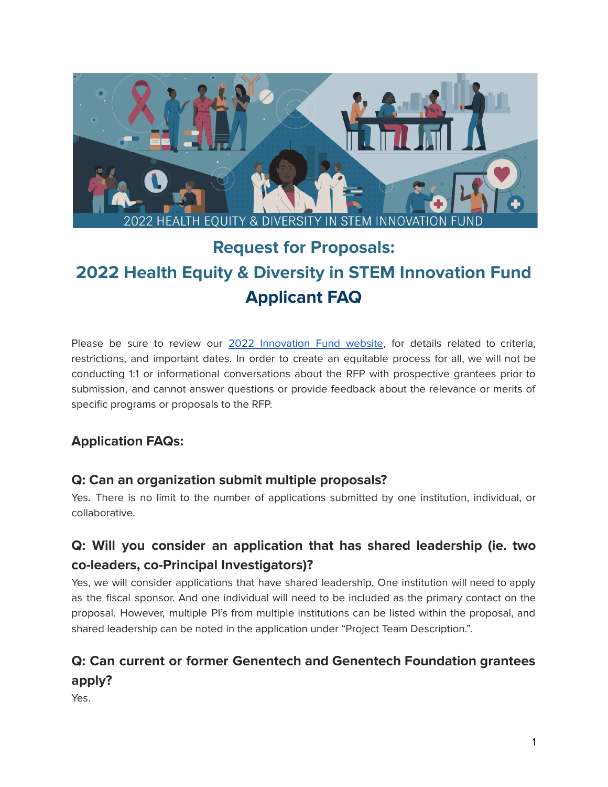

# **Request for Proposals: 2022 Health Equity & Diversity in STEM Innovation Fund Applicant FAQ**

Please be sure to review our 2022 [Innovation](https://www.gene.com/good/giving/corporate-giving/rfp-genentech-2022-innovation-fund) Fund website, for details related to criteria, restrictions, and important dates. In order to create an equitable process for all, we will not be conducting 1:1 or informational conversations about the RFP with prospective grantees prior to submission, and cannot answer questions or provide feedback about the relevance or merits of specific programs or proposals to the RFP.

#### **Application FAQs:**

#### **Q: Can an organization submit multiple proposals?**

Yes. There is no limit to the number of applications submitted by one institution, individual, or collaborative.

### **Q: Will you consider an application that has shared leadership (ie. two co-leaders, co-Principal Investigators)?**

Yes, we will consider applications that have shared leadership. One institution will need to apply as the fiscal sponsor. And one individual will need to be included as the primary contact on the proposal. However, multiple PI's from multiple institutions can be listed within the proposal, and shared leadership can be noted in the application under "Project Team Description.".

# **Q: Can current or former Genentech and Genentech Foundation grantees apply?**

Yes.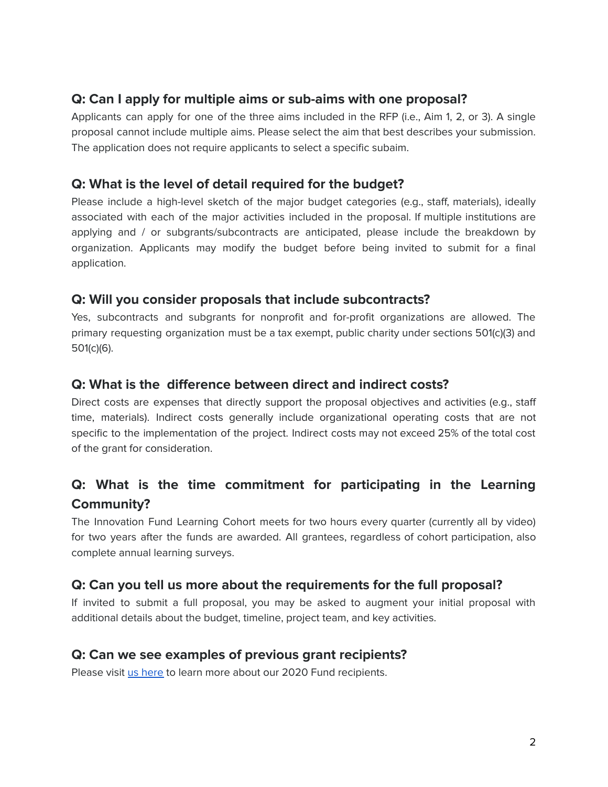#### **Q: Can I apply for multiple aims or sub-aims with one proposal?**

Applicants can apply for one of the three aims included in the RFP (i.e., Aim 1, 2, or 3). A single proposal cannot include multiple aims. Please select the aim that best describes your submission. The application does not require applicants to select a specific subaim.

#### **Q: What is the level of detail required for the budget?**

Please include a high-level sketch of the major budget categories (e.g., staff, materials), ideally associated with each of the major activities included in the proposal. If multiple institutions are applying and / or subgrants/subcontracts are anticipated, please include the breakdown by organization. Applicants may modify the budget before being invited to submit for a final application.

#### **Q: Will you consider proposals that include subcontracts?**

Yes, subcontracts and subgrants for nonprofit and for-profit organizations are allowed. The primary requesting organization must be a tax exempt, public charity under sections 501(c)(3) and 501(c)(6).

#### **Q: What is the difference between direct and indirect costs?**

Direct costs are expenses that directly support the proposal objectives and activities (e.g., staff time, materials). Indirect costs generally include organizational operating costs that are not specific to the implementation of the project. Indirect costs may not exceed 25% of the total cost of the grant for consideration.

### **Q: What is the time commitment for participating in the Learning Community?**

The Innovation Fund Learning Cohort meets for two hours every quarter (currently all by video) for two years after the funds are awarded. All grantees, regardless of cohort participation, also complete annual learning surveys.

#### **Q: Can you tell us more about the requirements for the full proposal?**

If invited to submit a full proposal, you may be asked to augment your initial proposal with additional details about the budget, timeline, project team, and key activities.

#### **Q: Can we see examples of previous grant recipients?**

Please visit *us [here](https://www.gene.com/stories/giving-for-a-more-just-healthcare-system)* to learn more about our 2020 Fund recipients.